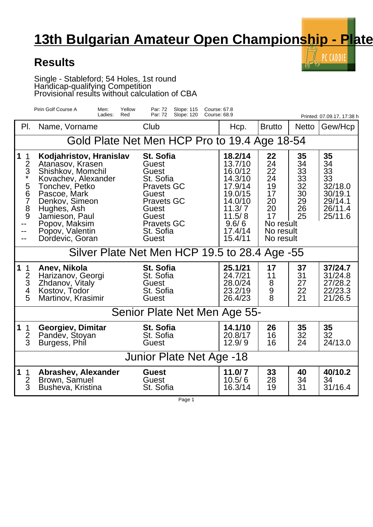## **13th Bulgarian Amateur Open Championship - Plate**

 $\llbracket \cdot \rangle$  PC CADDIE

## **Results**

Single - Stableford; 54 Holes, 1st round Handicap-qualifying Competition Provisional results without calculation of CBA

| Pirin Golf Course A<br>Yellow<br>Men:<br>Par: 72<br>Slope: 115<br>Course: 67.8<br>Ladies:<br>Par: 72<br>Slope: 120<br>Course: 68.9<br>Red<br>Printed: 07.09.17, 17:38 h |                                                                                                                                                                                                                                     |                                                                                                                                                                 |                                                                                                                              |                                                                                           |                                                    |                                                                             |  |  |  |  |
|-------------------------------------------------------------------------------------------------------------------------------------------------------------------------|-------------------------------------------------------------------------------------------------------------------------------------------------------------------------------------------------------------------------------------|-----------------------------------------------------------------------------------------------------------------------------------------------------------------|------------------------------------------------------------------------------------------------------------------------------|-------------------------------------------------------------------------------------------|----------------------------------------------------|-----------------------------------------------------------------------------|--|--|--|--|
| PI.                                                                                                                                                                     | Name, Vorname                                                                                                                                                                                                                       | Club                                                                                                                                                            | Hcp.                                                                                                                         | <b>Brutto</b>                                                                             | <b>Netto</b>                                       | Gew/Hcp                                                                     |  |  |  |  |
| Gold Plate Net Men HCP Pro to 19.4 Age 18-54                                                                                                                            |                                                                                                                                                                                                                                     |                                                                                                                                                                 |                                                                                                                              |                                                                                           |                                                    |                                                                             |  |  |  |  |
| $\mathbf 1$<br>$\mathbf 1$<br>$rac{2}{3}$<br>5<br>6<br>$\overline{7}$<br>8<br>9<br>--<br>--                                                                             | Kodjahristov, Hranislav<br>Atanasov, Krasen<br>Shishkov, Momchil<br>Kovachev, Alexander<br>Tonchev, Petko<br>Pascoe, Mark<br>Denkov, Simeon<br>Hughes, Ash<br>Jamieson, Paul<br>Popov, Maksim<br>Popov, Valentin<br>Dordevic, Goran | <b>St. Sofia</b><br>Guest<br>Guest<br>St. Sofia<br><b>Pravets GC</b><br>Guest<br><b>Pravets GC</b><br>Guest<br>Guest<br><b>Pravets GC</b><br>St. Sofia<br>Guest | 18.2/14<br>13.7/10<br>16.0/12<br>14.3/10<br>17.9/14<br>19.0/15<br>14.0/10<br>11.3/7<br>11.5/8<br>9.6/6<br>17.4/14<br>15.4/11 | 22<br>24<br>22<br>24<br>19<br>17<br>20<br>20<br>17<br>No result<br>No result<br>No result | 35<br>34<br>33<br>33<br>32<br>30<br>29<br>26<br>25 | 35<br>34<br>33<br>33<br>32/18.0<br>30/19.1<br>29/14.1<br>26/11.4<br>25/11.6 |  |  |  |  |
| Silver Plate Net Men HCP 19.5 to 28.4 Age -55                                                                                                                           |                                                                                                                                                                                                                                     |                                                                                                                                                                 |                                                                                                                              |                                                                                           |                                                    |                                                                             |  |  |  |  |
| $\mathbf{1}$<br>1<br>$\frac{2}{3}$<br>5                                                                                                                                 | Anev, Nikola<br>Harizanov, Georgi<br>Zhdanov, Vitaly<br>Kostov, Todor<br>Martinov, Krasimir                                                                                                                                         | St. Sofia<br>St. Sofia<br>Guest<br>St. Sofia<br>Guest                                                                                                           | 25.1/21<br>24.7/21<br>28.0/24<br>23.2/19<br>26.4/23                                                                          | 17<br>11<br>8<br>9<br>8                                                                   | 37<br>31<br>27<br>22<br>21                         | 37/24.7<br>31/24.8<br>27/28.2<br>22/23.3<br>21/26.5                         |  |  |  |  |
| Senior Plate Net Men Age 55-                                                                                                                                            |                                                                                                                                                                                                                                     |                                                                                                                                                                 |                                                                                                                              |                                                                                           |                                                    |                                                                             |  |  |  |  |
| $\mathbf{1}$<br>1<br>$rac{2}{3}$                                                                                                                                        | Georgiev, Dimitar<br>Pandev, Stoyan<br>Burgess, Phil                                                                                                                                                                                | St. Sofia<br>St. Sofia<br><b>Guest</b>                                                                                                                          | 14.1/10<br>20.8/17<br>12.9/9                                                                                                 | 26<br>16<br>16                                                                            | 35<br>32<br>24                                     | 35<br>32<br>24/13.0                                                         |  |  |  |  |
| Junior Plate Net Age -18                                                                                                                                                |                                                                                                                                                                                                                                     |                                                                                                                                                                 |                                                                                                                              |                                                                                           |                                                    |                                                                             |  |  |  |  |
| $\mathbf 1$<br>$\mathbf 1$<br>$\overline{2}$<br>$\overline{3}$                                                                                                          | Abrashev, Alexander<br>Brown, Samuel<br>Busheva, Kristina                                                                                                                                                                           | <b>Guest</b><br><b>Guest</b><br>St. Sofia                                                                                                                       | 11.0/7<br>10.5/6<br>16.3/14                                                                                                  | 33<br>28<br>19                                                                            | 40<br>34<br>31                                     | 40/10.2<br>34<br>31/16.4                                                    |  |  |  |  |

Page 1